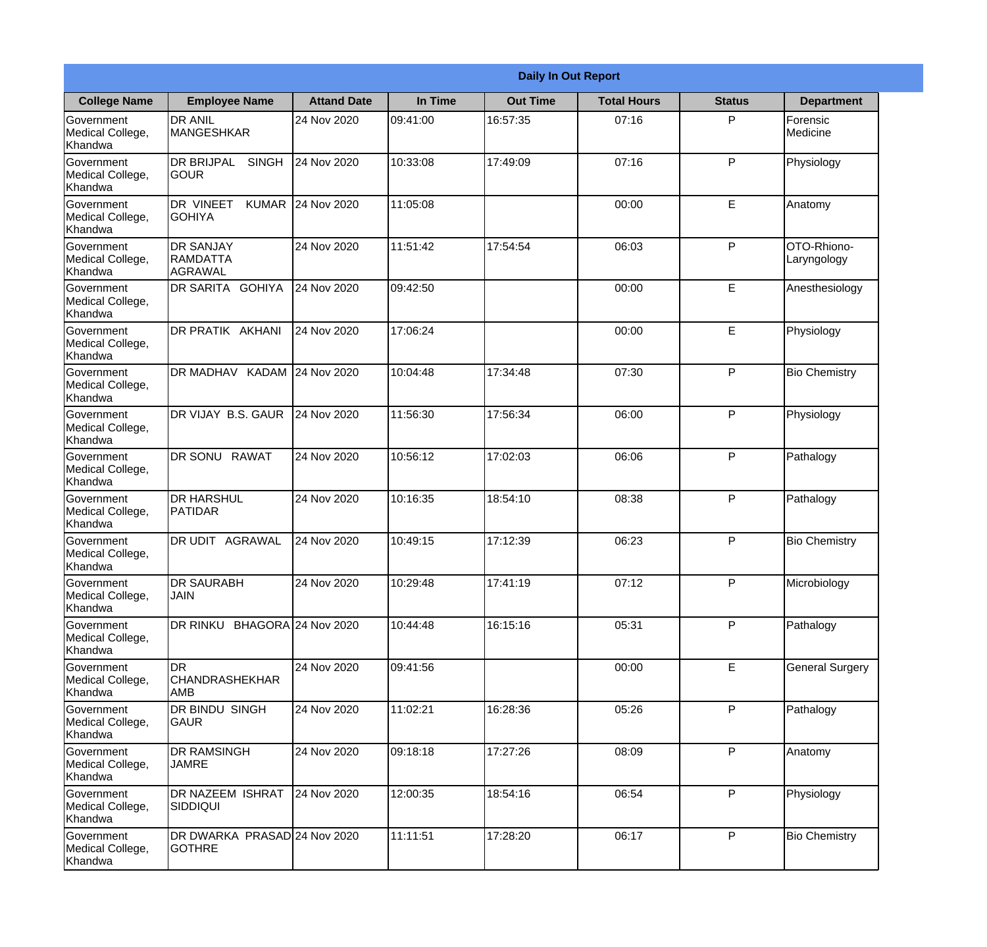|                                                  | <b>Daily In Out Report</b>                            |                    |          |                 |                    |               |                            |
|--------------------------------------------------|-------------------------------------------------------|--------------------|----------|-----------------|--------------------|---------------|----------------------------|
| <b>College Name</b>                              | <b>Employee Name</b>                                  | <b>Attand Date</b> | In Time  | <b>Out Time</b> | <b>Total Hours</b> | <b>Status</b> | <b>Department</b>          |
| Government<br>Medical College,<br>Khandwa        | <b>DR ANIL</b><br><b>MANGESHKAR</b>                   | 24 Nov 2020        | 09:41:00 | 16:57:35        | 07:16              | P             | Forensic<br>Medicine       |
| Government<br>Medical College,<br>Khandwa        | <b>DR BRIJPAL</b><br><b>SINGH</b><br> GOUR            | 24 Nov 2020        | 10:33:08 | 17:49:09        | 07:16              | P             | Physiology                 |
| <b>Government</b><br>Medical College,<br>Khandwa | <b>DR VINEET</b><br><b>KUMAR</b><br><b>I</b> GOHIYA   | 24 Nov 2020        | 11:05:08 |                 | 00:00              | E             | Anatomy                    |
| Government<br>Medical College,<br>Khandwa        | <b>DR SANJAY</b><br><b>RAMDATTA</b><br><b>AGRAWAL</b> | 24 Nov 2020        | 11:51:42 | 17:54:54        | 06:03              | P             | OTO-Rhiono-<br>Laryngology |
| Government<br>Medical College,<br>Khandwa        | <b>DR SARITA GOHIYA</b>                               | 24 Nov 2020        | 09:42:50 |                 | 00:00              | E             | Anesthesiology             |
| Government<br>Medical College,<br>Khandwa        | DR PRATIK AKHANI                                      | 24 Nov 2020        | 17:06:24 |                 | 00:00              | E             | Physiology                 |
| <b>Government</b><br>Medical College,<br>Khandwa | DR MADHAV KADAM 24 Nov 2020                           |                    | 10:04:48 | 17:34:48        | 07:30              | P             | <b>Bio Chemistry</b>       |
| <b>Government</b><br>Medical College,<br>Khandwa | DR VIJAY B.S. GAUR                                    | 24 Nov 2020        | 11:56:30 | 17:56:34        | 06:00              | P             | Physiology                 |
| Government<br>Medical College,<br>Khandwa        | <b>DR SONU</b><br><b>RAWAT</b>                        | 24 Nov 2020        | 10:56:12 | 17:02:03        | 06:06              | P             | Pathalogy                  |
| Government<br>Medical College,<br>Khandwa        | <b>DR HARSHUL</b><br>PATIDAR                          | 24 Nov 2020        | 10:16:35 | 18:54:10        | 08:38              | P             | Pathalogy                  |
| Government<br>Medical College,<br>Khandwa        | IDR UDIT<br><b>AGRAWAL</b>                            | 24 Nov 2020        | 10:49:15 | 17:12:39        | 06:23              | $\mathsf{P}$  | <b>Bio Chemistry</b>       |
| Government<br>Medical College,<br>Khandwa        | <b>DR SAURABH</b><br><b>JAIN</b>                      | 24 Nov 2020        | 10:29:48 | 17:41:19        | 07:12              | P             | Microbiology               |
| Government<br>Medical College,<br>Khandwa        | DR RINKU BHAGORA 24 Nov 2020                          |                    | 10:44:48 | 16:15:16        | 05:31              | P             | Pathalogy                  |
| Government<br>Medical College,<br>Khandwa        | <b>DR</b><br><b>CHANDRASHEKHAR</b><br><b>AMB</b>      | 24 Nov 2020        | 09:41:56 |                 | 00:00              | E             | <b>General Surgery</b>     |
| Government<br>Medical College,<br>Khandwa        | DR BINDU SINGH<br> GAUR                               | 24 Nov 2020        | 11:02:21 | 16:28:36        | 05:26              | $\mathsf{P}$  | Pathalogy                  |
| Government<br>Medical College,<br>Khandwa        | <b>DR RAMSINGH</b><br><b>JAMRE</b>                    | 24 Nov 2020        | 09:18:18 | 17:27:26        | 08:09              | P             | Anatomy                    |
| Government<br>Medical College,<br>Khandwa        | <b>DR NAZEEM ISHRAT</b><br><b>SIDDIQUI</b>            | 24 Nov 2020        | 12:00:35 | 18:54:16        | 06:54              | P             | Physiology                 |
| Government<br>Medical College,<br>Khandwa        | DR DWARKA PRASAD 24 Nov 2020<br><b>GOTHRE</b>         |                    | 11:11:51 | 17:28:20        | 06:17              | P             | <b>Bio Chemistry</b>       |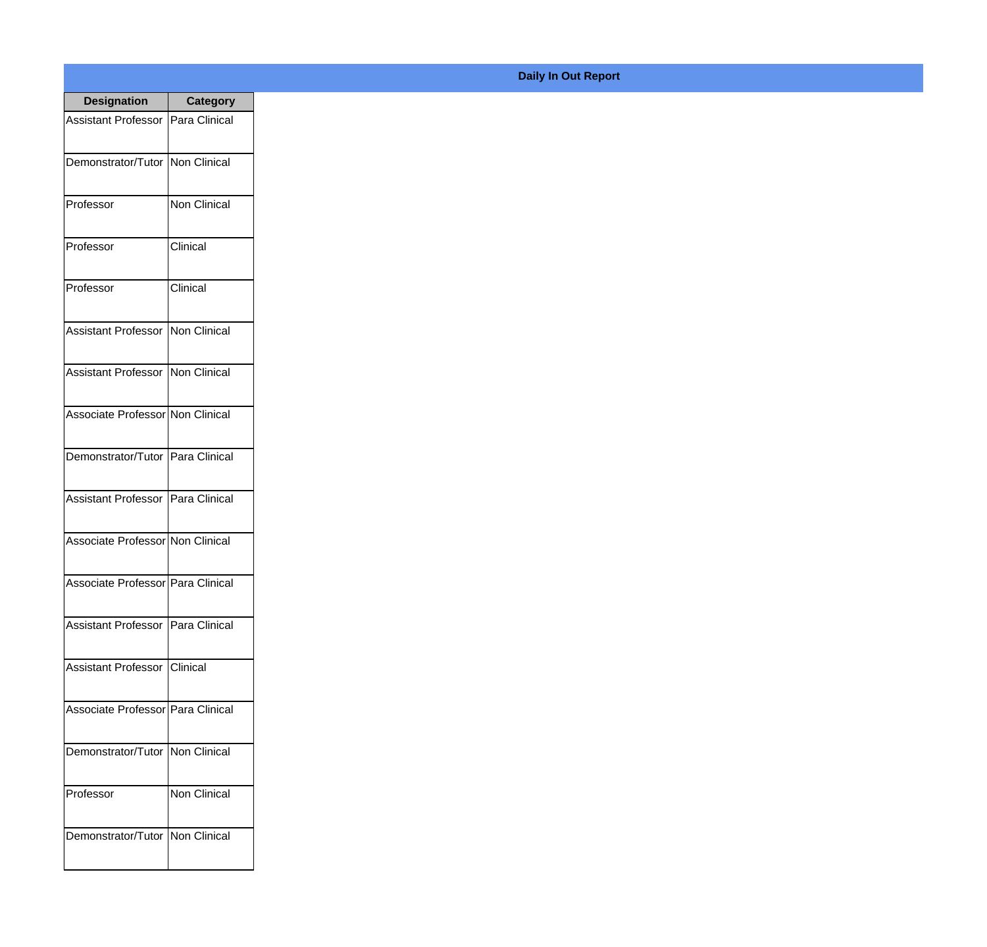| <b>Designation</b>                  | Category            |
|-------------------------------------|---------------------|
| <b>Assistant Professor</b>          | Para Clinical       |
| Demonstrator/Tutor   Non Clinical   |                     |
| Professor                           | <b>Non Clinical</b> |
| Professor                           | Clinical            |
| Professor                           | Clinical            |
| <b>Assistant Professor</b>          | Non Clinical        |
| <b>Assistant Professor</b>          | Non Clinical        |
| Associate Professor Non Clinical    |                     |
| Demonstrator/Tutor   Para Clinical  |                     |
| <b>Assistant Professor</b>          | Para Clinical       |
| Associate Professor   Non Clinical  |                     |
| Associate Professor Para Clinical   |                     |
| Assistant Professor   Para Clinical |                     |
| Assistant Professor   Clinical      |                     |
| Associate Professor   Para Clinical |                     |
| Demonstrator/Tutor   Non Clinical   |                     |
| Professor                           | <b>Non Clinical</b> |
| Demonstrator/Tutor   Non Clinical   |                     |

**Daily In Out Report**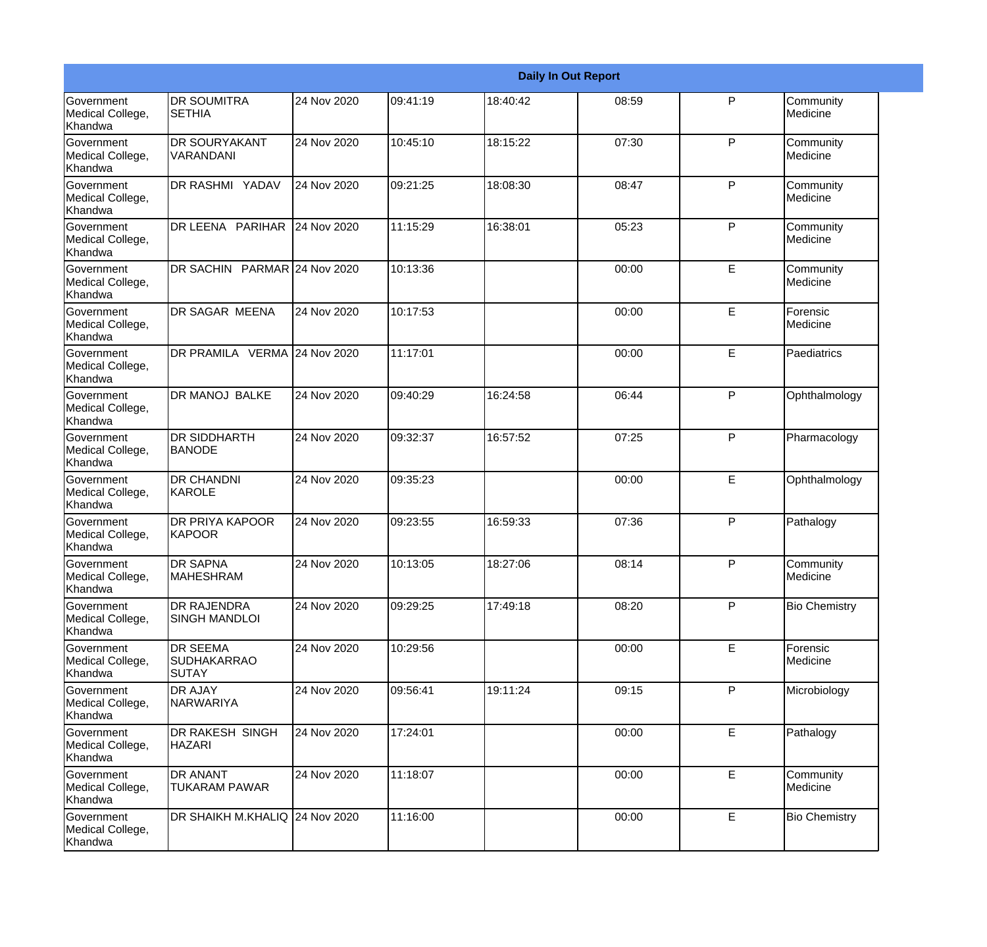|                                                  |                                                       |             |          |          | <b>Daily In Out Report</b> |              |                       |
|--------------------------------------------------|-------------------------------------------------------|-------------|----------|----------|----------------------------|--------------|-----------------------|
| Government<br>Medical College,<br>Khandwa        | <b>DR SOUMITRA</b><br><b>SETHIA</b>                   | 24 Nov 2020 | 09:41:19 | 18:40:42 | 08:59                      | P            | Community<br>Medicine |
| Government<br>Medical College,<br>Khandwa        | DR SOURYAKANT<br>VARANDANI                            | 24 Nov 2020 | 10:45:10 | 18:15:22 | 07:30                      | P            | Community<br>Medicine |
| <b>Government</b><br>Medical College,<br>Khandwa | DR RASHMI YADAV                                       | 24 Nov 2020 | 09:21:25 | 18:08:30 | 08:47                      | P            | Community<br>Medicine |
| <b>Government</b><br>Medical College,<br>Khandwa | DR LEENA PARIHAR                                      | 24 Nov 2020 | 11:15:29 | 16:38:01 | 05:23                      | P            | Community<br>Medicine |
| Government<br>Medical College,<br>Khandwa        | DR SACHIN PARMAR 24 Nov 2020                          |             | 10:13:36 |          | 00:00                      | E            | Community<br>Medicine |
| Government<br>Medical College,<br>Khandwa        | <b>DR SAGAR MEENA</b>                                 | 24 Nov 2020 | 10:17:53 |          | 00:00                      | E            | Forensic<br>Medicine  |
| Government<br>Medical College,<br>Khandwa        | DR PRAMILA VERMA 24 Nov 2020                          |             | 11:17:01 |          | 00:00                      | E            | Paediatrics           |
| Government<br>Medical College,<br>Khandwa        | DR MANOJ BALKE                                        | 24 Nov 2020 | 09:40:29 | 16:24:58 | 06:44                      | $\mathsf{P}$ | Ophthalmology         |
| Government<br>Medical College,<br>Khandwa        | DR SIDDHARTH<br><b>BANODE</b>                         | 24 Nov 2020 | 09:32:37 | 16:57:52 | 07:25                      | P            | Pharmacology          |
| <b>Government</b><br>Medical College,<br>Khandwa | <b>DR CHANDNI</b><br>KAROLE                           | 24 Nov 2020 | 09:35:23 |          | 00:00                      | E            | Ophthalmology         |
| <b>Government</b><br>Medical College,<br>Khandwa | <b>DR PRIYA KAPOOR</b><br>KAPOOR                      | 24 Nov 2020 | 09:23:55 | 16:59:33 | 07:36                      | P            | Pathalogy             |
| Government<br>Medical College,<br>Khandwa        | <b>DR SAPNA</b><br><b>MAHESHRAM</b>                   | 24 Nov 2020 | 10:13:05 | 18:27:06 | 08:14                      | P            | Community<br>Medicine |
| Government<br>Medical College,<br>Khandwa        | DR RAJENDRA<br>SINGH MANDLOI                          | 24 Nov 2020 | 09:29:25 | 17:49:18 | 08:20                      | P            | <b>Bio Chemistry</b>  |
| Government<br>Medical College,<br>Khandwa        | <b>DR SEEMA</b><br><b>SUDHAKARRAO</b><br><b>SUTAY</b> | 24 Nov 2020 | 10:29:56 |          | 00:00                      | E            | Forensic<br>Medicine  |
| Government<br>Medical College,<br>Khandwa        | <b>DR AJAY</b><br>NARWARIYA                           | 24 Nov 2020 | 09:56:41 | 19:11:24 | 09:15                      | P            | Microbiology          |
| Government<br>Medical College,<br>Khandwa        | DR RAKESH SINGH<br><b>HAZARI</b>                      | 24 Nov 2020 | 17:24:01 |          | 00:00                      | E            | Pathalogy             |
| Government<br>Medical College,<br>Khandwa        | DR ANANT<br><b>TUKARAM PAWAR</b>                      | 24 Nov 2020 | 11:18:07 |          | 00:00                      | E            | Community<br>Medicine |
| Government<br>Medical College,<br>Khandwa        | DR SHAIKH M.KHALIQ 24 Nov 2020                        |             | 11:16:00 |          | 00:00                      | E            | <b>Bio Chemistry</b>  |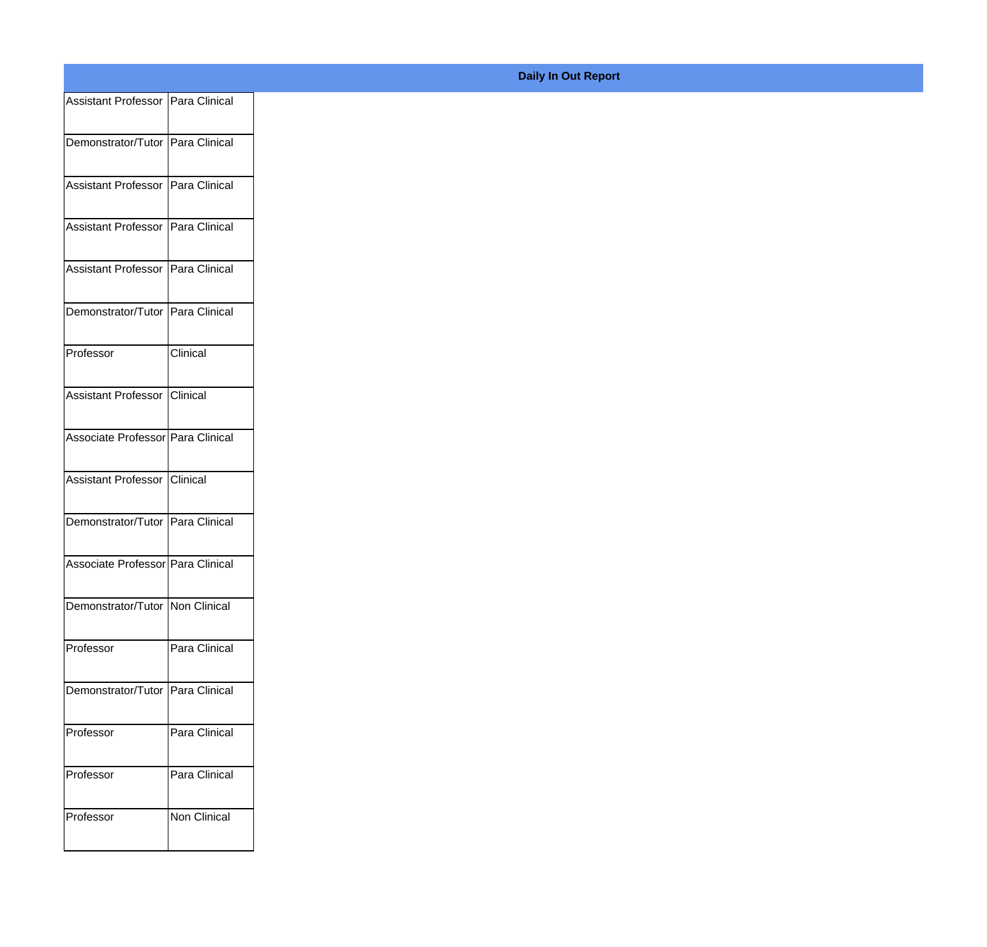| Assistant Professor   Para Clinical |               |
|-------------------------------------|---------------|
|                                     |               |
| Demonstrator/Tutor Para Clinical    |               |
| Assistant Professor Para Clinical   |               |
| Assistant Professor Para Clinical   |               |
|                                     |               |
| Assistant Professor Para Clinical   |               |
| Demonstrator/Tutor Para Clinical    |               |
|                                     |               |
| Professor                           | Clinical      |
|                                     |               |
| Assistant Professor Clinical        |               |
| Associate Professor Para Clinical   |               |
|                                     |               |
| Assistant Professor Clinical        |               |
| Demonstrator/Tutor Para Clinical    |               |
|                                     |               |
| Associate Professor Para Clinical   |               |
| Demonstrator/Tutor   Non Clinical   |               |
|                                     |               |
| Professor                           | Para Clinical |
| Demonstrator/Tutor Para Clinical    |               |
|                                     |               |
| Professor                           | Para Clinical |
| Professor                           | Para Clinical |
|                                     |               |
| Professor                           | Non Clinical  |
|                                     |               |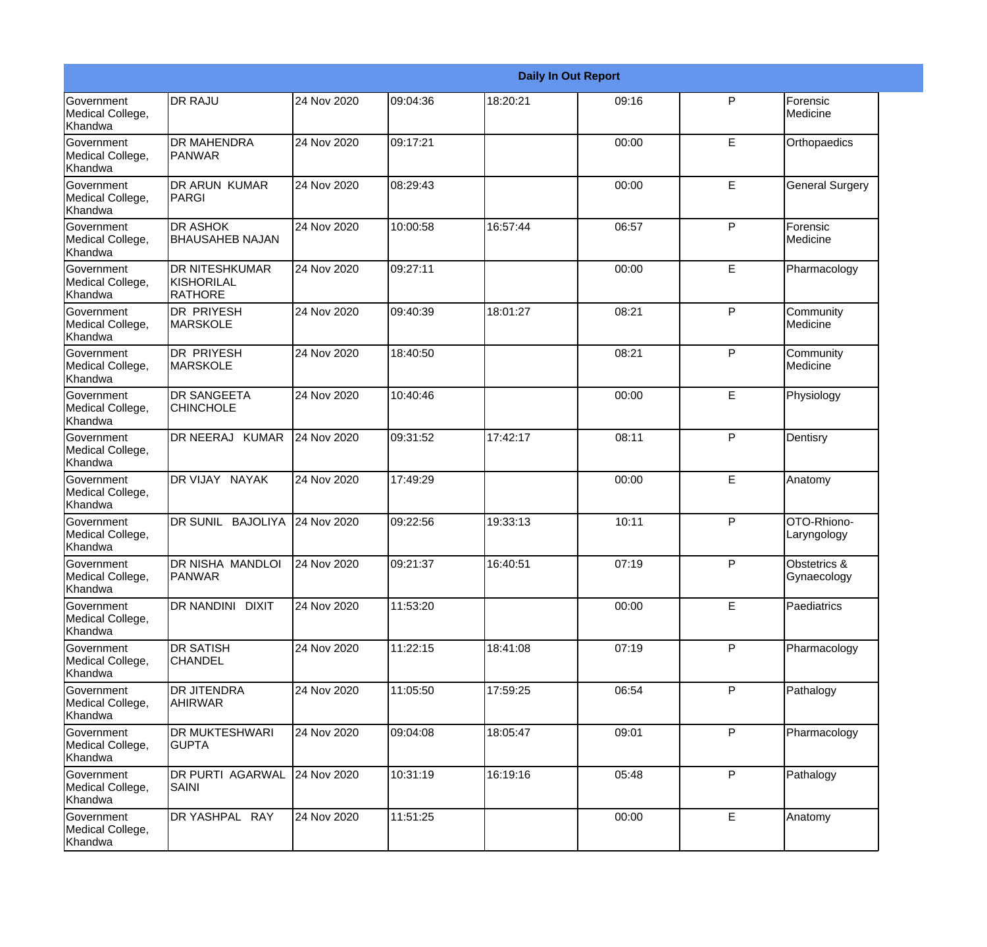|                                                  |                                                              |             |          |          | <b>Daily In Out Report</b> |              |                             |
|--------------------------------------------------|--------------------------------------------------------------|-------------|----------|----------|----------------------------|--------------|-----------------------------|
| Government<br>Medical College,<br>Khandwa        | <b>DR RAJU</b>                                               | 24 Nov 2020 | 09:04:36 | 18:20:21 | 09:16                      | $\mathsf{P}$ | Forensic<br>Medicine        |
| Government<br>Medical College,<br>Khandwa        | <b>DR MAHENDRA</b><br>PANWAR                                 | 24 Nov 2020 | 09:17:21 |          | 00:00                      | E            | Orthopaedics                |
| <b>Government</b><br>Medical College,<br>Khandwa | <b>DR ARUN KUMAR</b><br>PARGI                                | 24 Nov 2020 | 08:29:43 |          | 00:00                      | E            | <b>General Surgery</b>      |
| Government<br>Medical College,<br>Khandwa        | <b>DR ASHOK</b><br><b>BHAUSAHEB NAJAN</b>                    | 24 Nov 2020 | 10:00:58 | 16:57:44 | 06:57                      | P            | Forensic<br>Medicine        |
| Government<br>Medical College,<br>Khandwa        | <b>DR NITESHKUMAR</b><br><b>KISHORILAL</b><br><b>RATHORE</b> | 24 Nov 2020 | 09:27:11 |          | 00:00                      | E            | Pharmacology                |
| Government<br>Medical College,<br>Khandwa        | <b>DR PRIYESH</b><br><b>MARSKOLE</b>                         | 24 Nov 2020 | 09:40:39 | 18:01:27 | 08:21                      | P            | Community<br>Medicine       |
| <b>Government</b><br>Medical College,<br>Khandwa | <b>DR PRIYESH</b><br><b>MARSKOLE</b>                         | 24 Nov 2020 | 18:40:50 |          | 08:21                      | P            | Community<br>Medicine       |
| Government<br>Medical College,<br>Khandwa        | <b>DR SANGEETA</b><br><b>CHINCHOLE</b>                       | 24 Nov 2020 | 10:40:46 |          | 00:00                      | E            | Physiology                  |
| Government<br>Medical College,<br>Khandwa        | DR NEERAJ KUMAR                                              | 24 Nov 2020 | 09:31:52 | 17:42:17 | 08:11                      | P            | Dentisry                    |
| <b>Government</b><br>Medical College,<br>Khandwa | DR VIJAY NAYAK                                               | 24 Nov 2020 | 17:49:29 |          | 00:00                      | E            | Anatomy                     |
| <b>Government</b><br>Medical College,<br>Khandwa | DR SUNIL BAJOLIYA                                            | 24 Nov 2020 | 09:22:56 | 19:33:13 | 10:11                      | P            | OTO-Rhiono-<br>Laryngology  |
| Government<br>Medical College,<br>Khandwa        | DR NISHA MANDLOI<br><b>PANWAR</b>                            | 24 Nov 2020 | 09:21:37 | 16:40:51 | 07:19                      | P            | Obstetrics &<br>Gynaecology |
| Government<br>Medical College,<br>Khandwa        | DR NANDINI DIXIT                                             | 24 Nov 2020 | 11:53:20 |          | 00:00                      | E            | Paediatrics                 |
| Government<br>Medical College,<br>Khandwa        | <b>DR SATISH</b><br><b>CHANDEL</b>                           | 24 Nov 2020 | 11:22:15 | 18:41:08 | 07:19                      | P            | Pharmacology                |
| Government<br>Medical College,<br>Khandwa        | <b>DR JITENDRA</b><br>AHIRWAR                                | 24 Nov 2020 | 11:05:50 | 17:59:25 | 06:54                      | P            | Pathalogy                   |
| Government<br>Medical College,<br>Khandwa        | <b>DR MUKTESHWARI</b><br><b>GUPTA</b>                        | 24 Nov 2020 | 09:04:08 | 18:05:47 | 09:01                      | P            | Pharmacology                |
| Government<br>Medical College,<br>Khandwa        | DR PURTI AGARWAL<br>SAINI                                    | 24 Nov 2020 | 10:31:19 | 16:19:16 | 05:48                      | $\mathsf{P}$ | Pathalogy                   |
| Government<br>Medical College,<br>Khandwa        | DR YASHPAL RAY                                               | 24 Nov 2020 | 11:51:25 |          | 00:00                      | E            | Anatomy                     |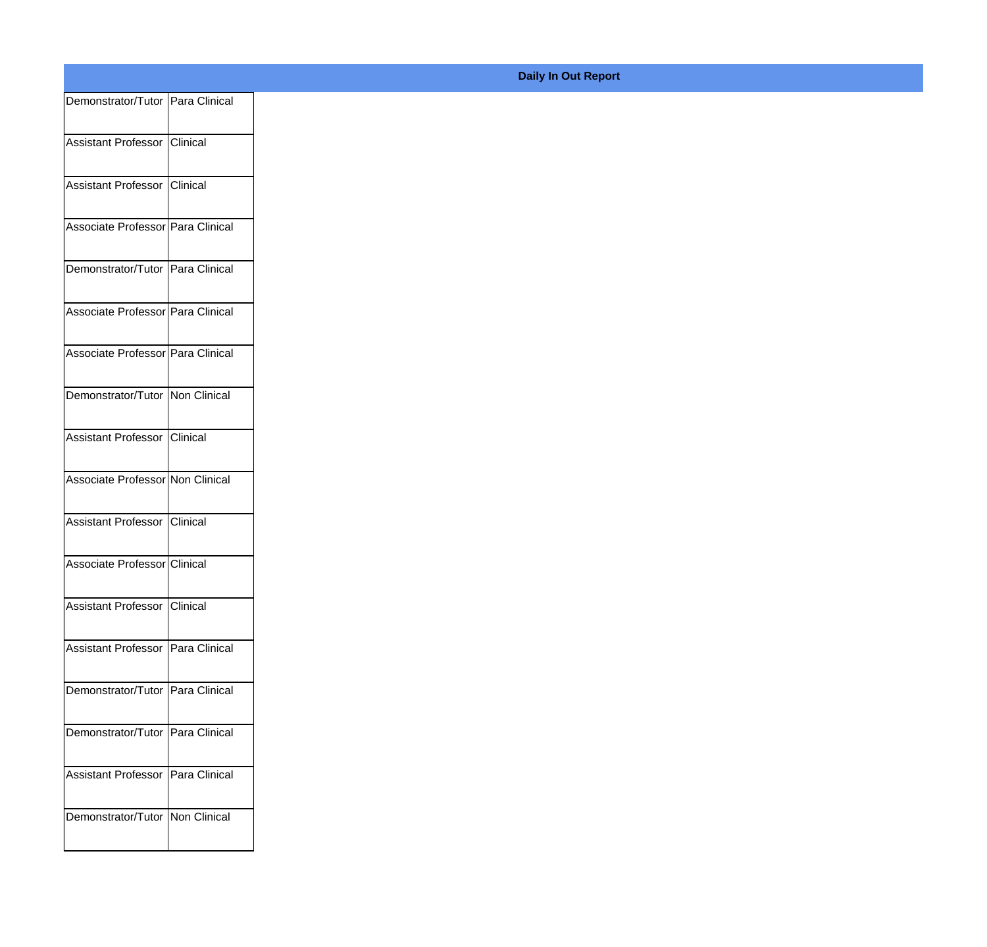| Demonstrator/Tutor Para Clinical  |          |
|-----------------------------------|----------|
| Assistant Professor               | Clinical |
|                                   |          |
| Assistant Professor               | Clinical |
| Associate Professor Para Clinical |          |
|                                   |          |
| Demonstrator/Tutor Para Clinical  |          |
| Associate Professor Para Clinical |          |
|                                   |          |
| Associate Professor Para Clinical |          |
| Demonstrator/Tutor Non Clinical   |          |
|                                   |          |
| Assistant Professor Clinical      |          |
| Associate Professor Non Clinical  |          |
|                                   |          |
| Assistant Professor               | Clinical |
| Associate Professor Clinical      |          |
|                                   |          |
| Assistant Professor   Clinical    |          |
| Assistant Professor Para Clinical |          |
|                                   |          |
| Demonstrator/Tutor Para Clinical  |          |
|                                   |          |
| Demonstrator/Tutor Para Clinical  |          |
| Assistant Professor Para Clinical |          |
|                                   |          |
| Demonstrator/Tutor   Non Clinical |          |
|                                   |          |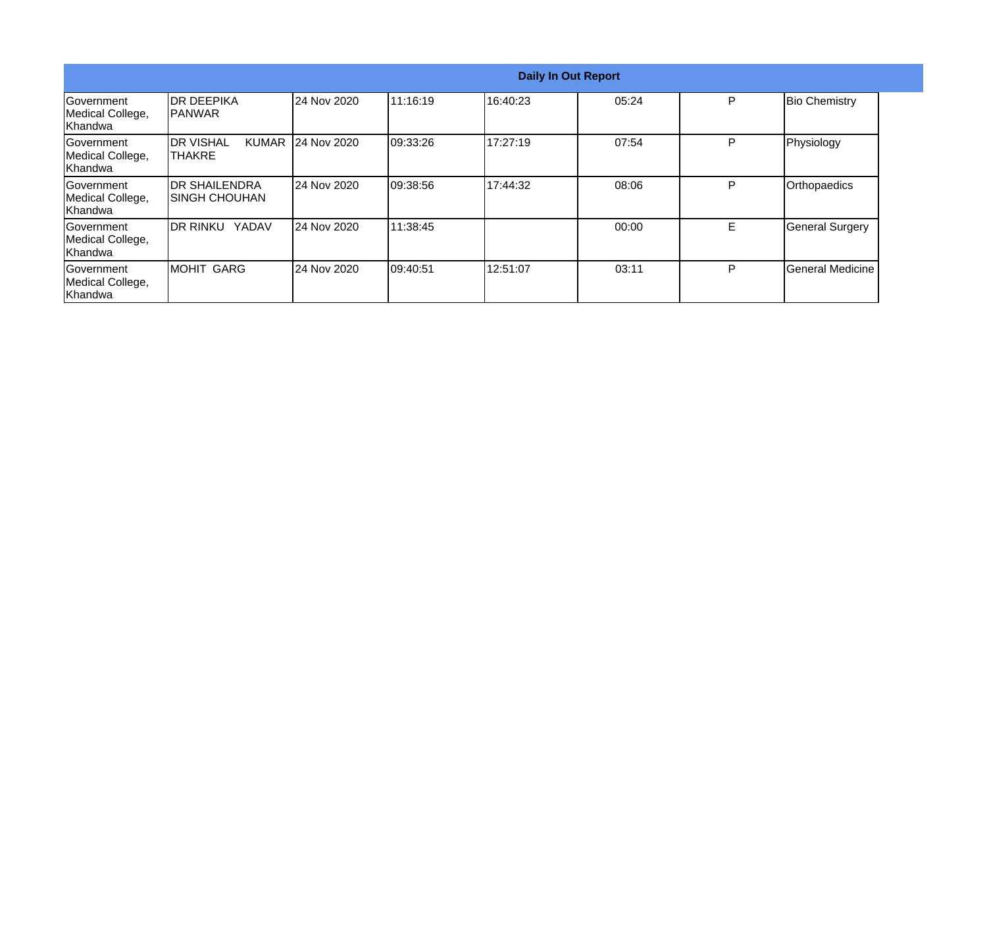|                                            |                                                     |             |           |          | <b>Daily In Out Report</b> |    |                        |
|--------------------------------------------|-----------------------------------------------------|-------------|-----------|----------|----------------------------|----|------------------------|
| lGovernment<br>Medical College,<br>Khandwa | <b>IDR DEEPIKA</b><br><b>IPANWAR</b>                | 24 Nov 2020 | 11:16:19  | 16:40:23 | 05:24                      | P  | <b>Bio Chemistry</b>   |
| Government<br>Medical College,<br>Khandwa  | <b>IDR VISHAL</b><br><b>KUMAR</b><br><b>ITHAKRE</b> | 24 Nov 2020 | 09:33:26  | 17:27:19 | 07:54                      | P  | Physiology             |
| Government<br>Medical College,<br>Khandwa  | <b>IDR SHAILENDRA</b><br>ISINGH CHOUHAN             | 24 Nov 2020 | 09:38:56  | 17:44:32 | 08:06                      | P  | Orthopaedics           |
| lGovernment<br>Medical College,<br>Khandwa | YADAV<br>idr rinku                                  | 24 Nov 2020 | 11:38:45  |          | 00:00                      | E. | <b>General Surgery</b> |
| Government<br>Medical College,<br>Khandwa  | <b>MOHIT GARG</b>                                   | 24 Nov 2020 | 109:40:51 | 12:51:07 | 03:11                      | P  | General Medicine       |